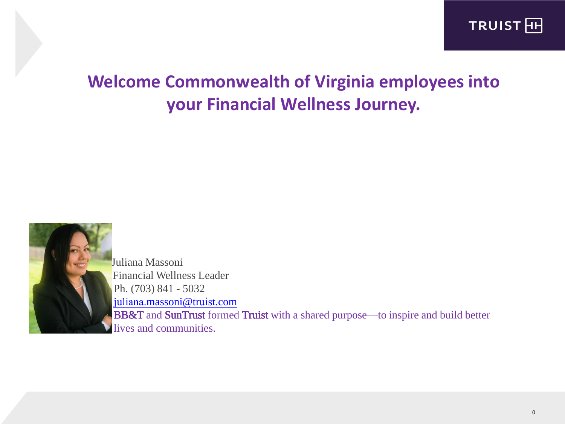

# **Welcome Commonwealth of Virginia employees into your Financial Wellness Journey.**



Juliana Massoni Financial Wellness Leader Ph. (703) 841 - 5032 juliana.[massoni@t](mailto:jmassoni@bbandt.com)ruist.com BB&T and SunTrust formed Truist with a shared purpose—to inspire and build better lives and communities.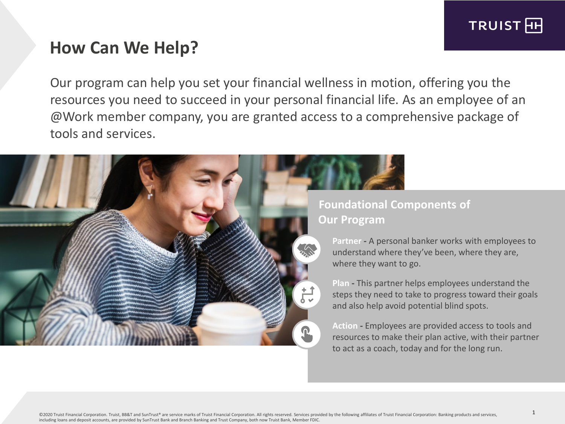

# **How Can We Help?**

Our program can help you set your financial wellness in motion, offering you the resources you need to succeed in your personal financial life. As an employee of an @Work member company, you are granted access to a comprehensive package of tools and services.



#### **Foundational Components of Our Program**

**Partner -** A personal banker works with employees to understand where they've been, where they are, where they want to go.

**Plan -** This partner helps employees understand the steps they need to take to progress toward their goals and also help avoid potential blind spots.

**Action -** Employees are provided access to tools and resources to make their plan active, with their partner to act as a coach, today and for the long run.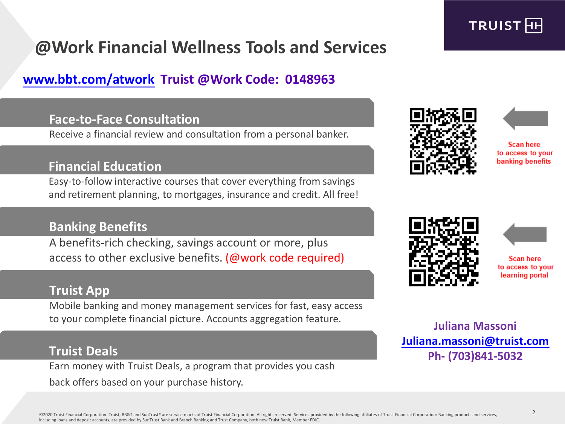

# **@Work Financial Wellness Tools and Services**

## **www.bbt[.com/atwork](http://www.bbt.com/atworkwellness) Truist @Work Code: 0148963**

#### **Face-to-Face Consultation**

Receive a financial review and consultation from a personal banker.

#### **Financial Education**

Easy-to-follow interactive courses that cover everything from savings and retirement planning, to mortgages, insurance and credit. All free!

#### **Banking Benefits**

A benefits-rich checking, savings account or more, plus access to other exclusive benefits. (@work code required)

#### **Truist App**

Mobile banking and money management services for fast, easy access to your complete financial picture. Accounts aggregation feature.

### **Truist Deals**

Earn money with Truist Deals, a program that provides you cash back offers based on your purchase history.





**Scan here** to access to your banking benefits





Scan here to access to your learning portal

**Juliana Massoni Juliana.[massoni@t](mailto:jmassoni@bbandt.com)ruist.com Ph- (703)841-5032**